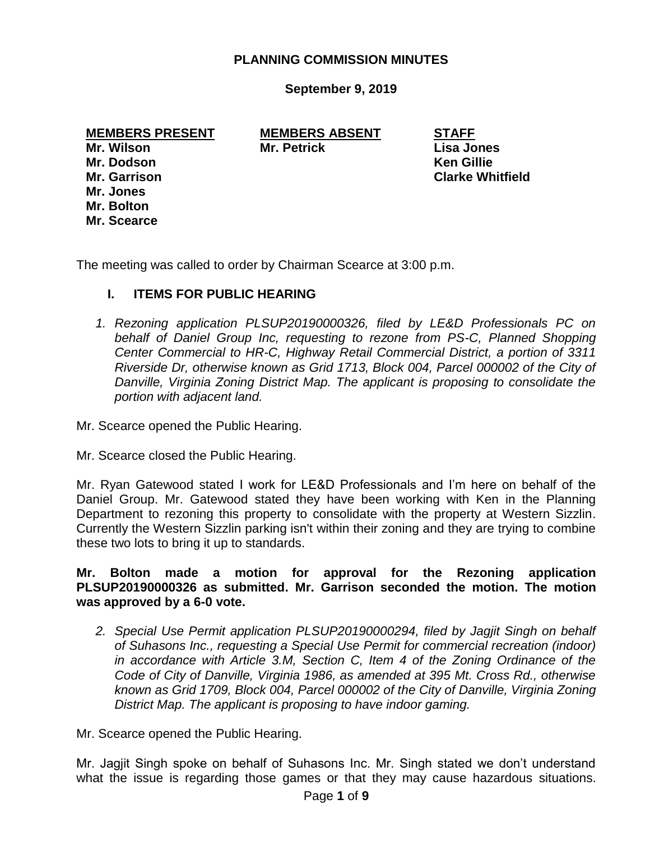# **PLANNING COMMISSION MINUTES**

**September 9, 2019**

**MEMBERS PRESENT MEMBERS ABSENT STAFF Mr. Wilson Mr. Petrick Lisa Jones**

**Mr. Dodson Ken Gillie Mr. Garrison Clarke Whitfield Mr. Jones Mr. Bolton Mr. Scearce**

The meeting was called to order by Chairman Scearce at 3:00 p.m.

# **I. ITEMS FOR PUBLIC HEARING**

*1. Rezoning application PLSUP20190000326, filed by LE&D Professionals PC on behalf of Daniel Group Inc, requesting to rezone from PS-C, Planned Shopping Center Commercial to HR-C, Highway Retail Commercial District, a portion of 3311 Riverside Dr, otherwise known as Grid 1713, Block 004, Parcel 000002 of the City of Danville, Virginia Zoning District Map. The applicant is proposing to consolidate the portion with adjacent land.*

Mr. Scearce opened the Public Hearing.

Mr. Scearce closed the Public Hearing.

Mr. Ryan Gatewood stated I work for LE&D Professionals and I'm here on behalf of the Daniel Group. Mr. Gatewood stated they have been working with Ken in the Planning Department to rezoning this property to consolidate with the property at Western Sizzlin. Currently the Western Sizzlin parking isn't within their zoning and they are trying to combine these two lots to bring it up to standards.

# **Mr. Bolton made a motion for approval for the Rezoning application PLSUP20190000326 as submitted. Mr. Garrison seconded the motion. The motion was approved by a 6-0 vote.**

*2. Special Use Permit application PLSUP20190000294, filed by Jagjit Singh on behalf of Suhasons Inc., requesting a Special Use Permit for commercial recreation (indoor) in accordance with Article 3.M, Section C, Item 4 of the Zoning Ordinance of the Code of City of Danville, Virginia 1986, as amended at 395 Mt. Cross Rd., otherwise known as Grid 1709, Block 004, Parcel 000002 of the City of Danville, Virginia Zoning District Map. The applicant is proposing to have indoor gaming.*

Mr. Scearce opened the Public Hearing.

Mr. Jagjit Singh spoke on behalf of Suhasons Inc. Mr. Singh stated we don't understand what the issue is regarding those games or that they may cause hazardous situations.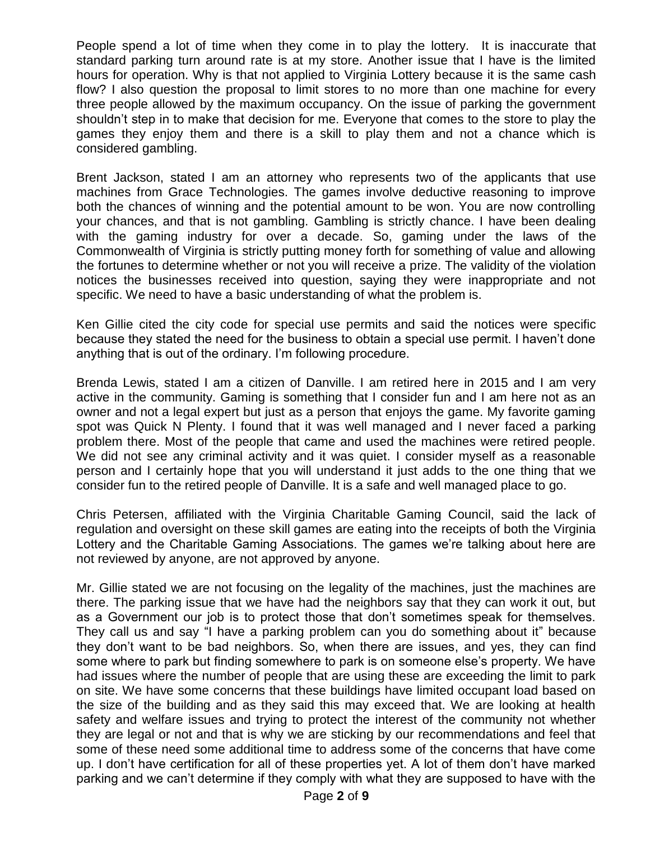People spend a lot of time when they come in to play the lottery. It is inaccurate that standard parking turn around rate is at my store. Another issue that I have is the limited hours for operation. Why is that not applied to Virginia Lottery because it is the same cash flow? I also question the proposal to limit stores to no more than one machine for every three people allowed by the maximum occupancy. On the issue of parking the government shouldn't step in to make that decision for me. Everyone that comes to the store to play the games they enjoy them and there is a skill to play them and not a chance which is considered gambling.

Brent Jackson, stated I am an attorney who represents two of the applicants that use machines from Grace Technologies. The games involve deductive reasoning to improve both the chances of winning and the potential amount to be won. You are now controlling your chances, and that is not gambling. Gambling is strictly chance. I have been dealing with the gaming industry for over a decade. So, gaming under the laws of the Commonwealth of Virginia is strictly putting money forth for something of value and allowing the fortunes to determine whether or not you will receive a prize. The validity of the violation notices the businesses received into question, saying they were inappropriate and not specific. We need to have a basic understanding of what the problem is.

Ken Gillie cited the city code for special use permits and said the notices were specific because they stated the need for the business to obtain a special use permit. I haven't done anything that is out of the ordinary. I'm following procedure.

Brenda Lewis, stated I am a citizen of Danville. I am retired here in 2015 and I am very active in the community. Gaming is something that I consider fun and I am here not as an owner and not a legal expert but just as a person that enjoys the game. My favorite gaming spot was Quick N Plenty. I found that it was well managed and I never faced a parking problem there. Most of the people that came and used the machines were retired people. We did not see any criminal activity and it was quiet. I consider myself as a reasonable person and I certainly hope that you will understand it just adds to the one thing that we consider fun to the retired people of Danville. It is a safe and well managed place to go.

Chris Petersen, affiliated with the Virginia Charitable Gaming Council, said the lack of regulation and oversight on these skill games are eating into the receipts of both the Virginia Lottery and the Charitable Gaming Associations. The games we're talking about here are not reviewed by anyone, are not approved by anyone.

Mr. Gillie stated we are not focusing on the legality of the machines, just the machines are there. The parking issue that we have had the neighbors say that they can work it out, but as a Government our job is to protect those that don't sometimes speak for themselves. They call us and say "I have a parking problem can you do something about it" because they don't want to be bad neighbors. So, when there are issues, and yes, they can find some where to park but finding somewhere to park is on someone else's property. We have had issues where the number of people that are using these are exceeding the limit to park on site. We have some concerns that these buildings have limited occupant load based on the size of the building and as they said this may exceed that. We are looking at health safety and welfare issues and trying to protect the interest of the community not whether they are legal or not and that is why we are sticking by our recommendations and feel that some of these need some additional time to address some of the concerns that have come up. I don't have certification for all of these properties yet. A lot of them don't have marked parking and we can't determine if they comply with what they are supposed to have with the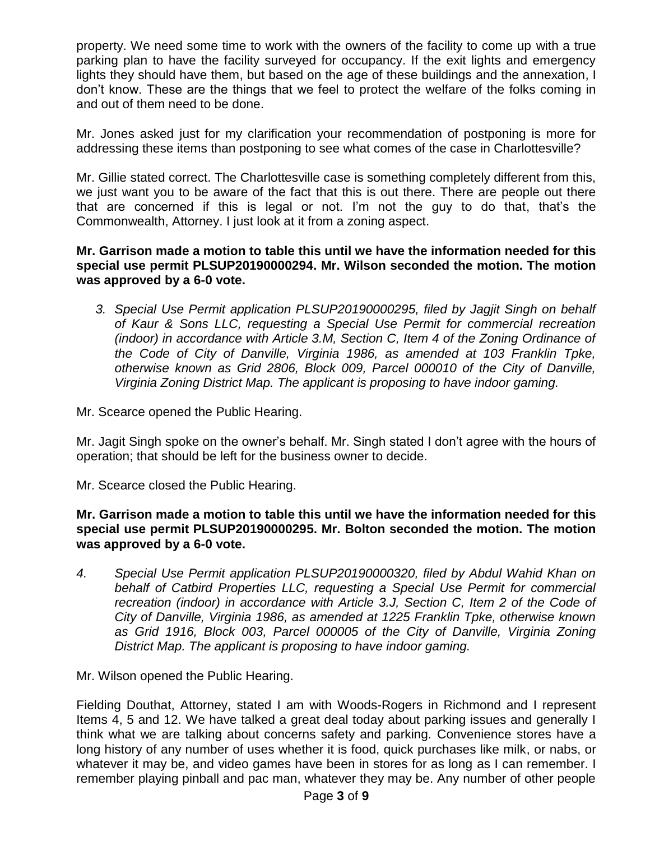property. We need some time to work with the owners of the facility to come up with a true parking plan to have the facility surveyed for occupancy. If the exit lights and emergency lights they should have them, but based on the age of these buildings and the annexation, I don't know. These are the things that we feel to protect the welfare of the folks coming in and out of them need to be done.

Mr. Jones asked just for my clarification your recommendation of postponing is more for addressing these items than postponing to see what comes of the case in Charlottesville?

Mr. Gillie stated correct. The Charlottesville case is something completely different from this, we just want you to be aware of the fact that this is out there. There are people out there that are concerned if this is legal or not. I'm not the guy to do that, that's the Commonwealth, Attorney. I just look at it from a zoning aspect.

#### **Mr. Garrison made a motion to table this until we have the information needed for this special use permit PLSUP20190000294. Mr. Wilson seconded the motion. The motion was approved by a 6-0 vote.**

*3. Special Use Permit application PLSUP20190000295, filed by Jagjit Singh on behalf of Kaur & Sons LLC, requesting a Special Use Permit for commercial recreation (indoor) in accordance with Article 3.M, Section C, Item 4 of the Zoning Ordinance of the Code of City of Danville, Virginia 1986, as amended at 103 Franklin Tpke, otherwise known as Grid 2806, Block 009, Parcel 000010 of the City of Danville, Virginia Zoning District Map. The applicant is proposing to have indoor gaming.*

Mr. Scearce opened the Public Hearing.

Mr. Jagit Singh spoke on the owner's behalf. Mr. Singh stated I don't agree with the hours of operation; that should be left for the business owner to decide.

Mr. Scearce closed the Public Hearing.

# **Mr. Garrison made a motion to table this until we have the information needed for this special use permit PLSUP20190000295. Mr. Bolton seconded the motion. The motion was approved by a 6-0 vote.**

*4. Special Use Permit application PLSUP20190000320, filed by Abdul Wahid Khan on behalf of Catbird Properties LLC, requesting a Special Use Permit for commercial recreation (indoor) in accordance with Article 3.J, Section C, Item 2 of the Code of City of Danville, Virginia 1986, as amended at 1225 Franklin Tpke, otherwise known as Grid 1916, Block 003, Parcel 000005 of the City of Danville, Virginia Zoning District Map. The applicant is proposing to have indoor gaming.*

Mr. Wilson opened the Public Hearing.

Fielding Douthat, Attorney, stated I am with Woods-Rogers in Richmond and I represent Items 4, 5 and 12. We have talked a great deal today about parking issues and generally I think what we are talking about concerns safety and parking. Convenience stores have a long history of any number of uses whether it is food, quick purchases like milk, or nabs, or whatever it may be, and video games have been in stores for as long as I can remember. I remember playing pinball and pac man, whatever they may be. Any number of other people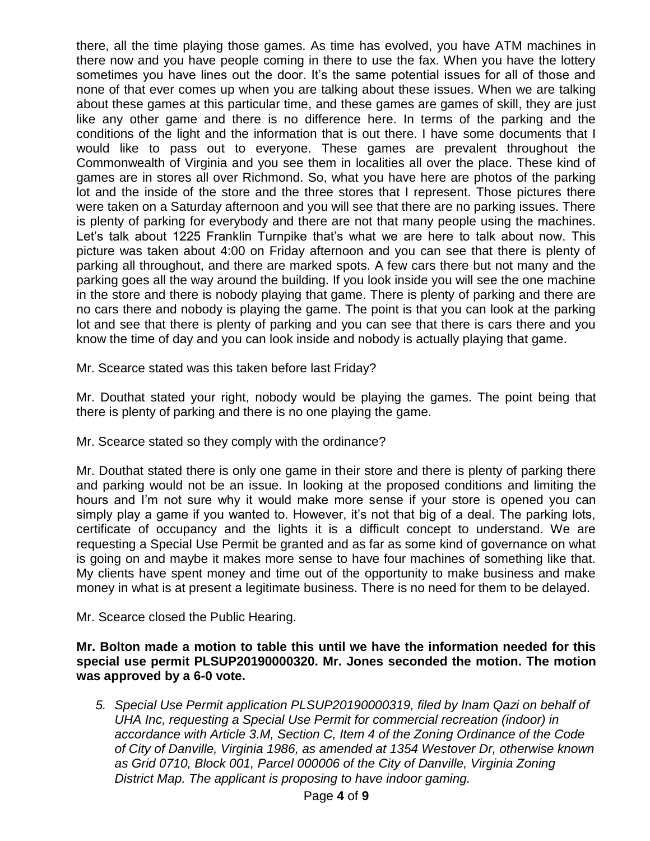there, all the time playing those games. As time has evolved, you have ATM machines in there now and you have people coming in there to use the fax. When you have the lottery sometimes you have lines out the door. It's the same potential issues for all of those and none of that ever comes up when you are talking about these issues. When we are talking about these games at this particular time, and these games are games of skill, they are just like any other game and there is no difference here. In terms of the parking and the conditions of the light and the information that is out there. I have some documents that I would like to pass out to everyone. These games are prevalent throughout the Commonwealth of Virginia and you see them in localities all over the place. These kind of games are in stores all over Richmond. So, what you have here are photos of the parking lot and the inside of the store and the three stores that I represent. Those pictures there were taken on a Saturday afternoon and you will see that there are no parking issues. There is plenty of parking for everybody and there are not that many people using the machines. Let's talk about 1225 Franklin Turnpike that's what we are here to talk about now. This picture was taken about 4:00 on Friday afternoon and you can see that there is plenty of parking all throughout, and there are marked spots. A few cars there but not many and the parking goes all the way around the building. If you look inside you will see the one machine in the store and there is nobody playing that game. There is plenty of parking and there are no cars there and nobody is playing the game. The point is that you can look at the parking lot and see that there is plenty of parking and you can see that there is cars there and you know the time of day and you can look inside and nobody is actually playing that game.

Mr. Scearce stated was this taken before last Friday?

Mr. Douthat stated your right, nobody would be playing the games. The point being that there is plenty of parking and there is no one playing the game.

Mr. Scearce stated so they comply with the ordinance?

Mr. Douthat stated there is only one game in their store and there is plenty of parking there and parking would not be an issue. In looking at the proposed conditions and limiting the hours and I'm not sure why it would make more sense if your store is opened you can simply play a game if you wanted to. However, it's not that big of a deal. The parking lots, certificate of occupancy and the lights it is a difficult concept to understand. We are requesting a Special Use Permit be granted and as far as some kind of governance on what is going on and maybe it makes more sense to have four machines of something like that. My clients have spent money and time out of the opportunity to make business and make money in what is at present a legitimate business. There is no need for them to be delayed.

Mr. Scearce closed the Public Hearing.

**Mr. Bolton made a motion to table this until we have the information needed for this special use permit PLSUP20190000320. Mr. Jones seconded the motion. The motion was approved by a 6-0 vote.**

*5. Special Use Permit application PLSUP20190000319, filed by Inam Qazi on behalf of UHA Inc, requesting a Special Use Permit for commercial recreation (indoor) in accordance with Article 3.M, Section C, Item 4 of the Zoning Ordinance of the Code of City of Danville, Virginia 1986, as amended at 1354 Westover Dr, otherwise known as Grid 0710, Block 001, Parcel 000006 of the City of Danville, Virginia Zoning District Map. The applicant is proposing to have indoor gaming.*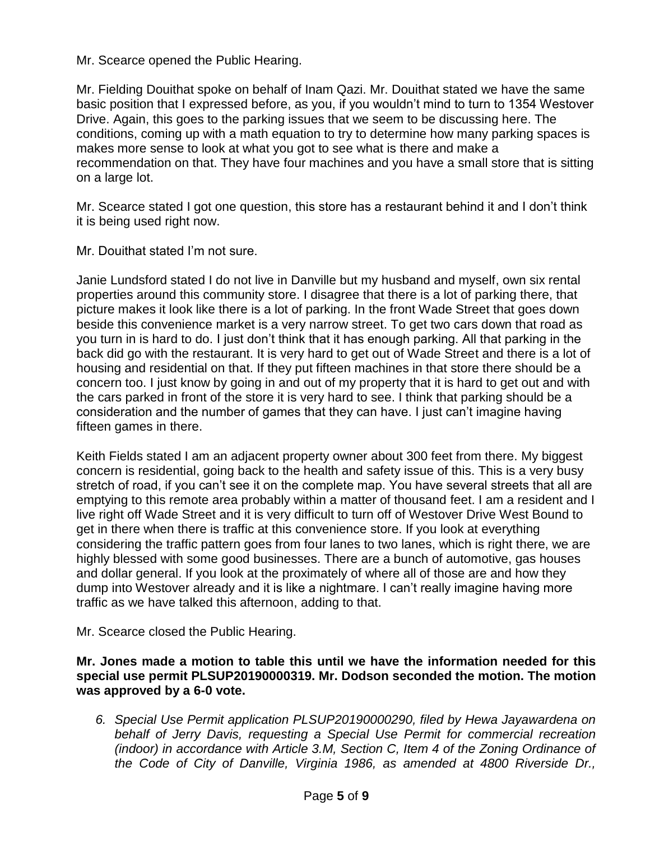Mr. Scearce opened the Public Hearing.

Mr. Fielding Douithat spoke on behalf of Inam Qazi. Mr. Douithat stated we have the same basic position that I expressed before, as you, if you wouldn't mind to turn to 1354 Westover Drive. Again, this goes to the parking issues that we seem to be discussing here. The conditions, coming up with a math equation to try to determine how many parking spaces is makes more sense to look at what you got to see what is there and make a recommendation on that. They have four machines and you have a small store that is sitting on a large lot.

Mr. Scearce stated I got one question, this store has a restaurant behind it and I don't think it is being used right now.

Mr. Douithat stated I'm not sure.

Janie Lundsford stated I do not live in Danville but my husband and myself, own six rental properties around this community store. I disagree that there is a lot of parking there, that picture makes it look like there is a lot of parking. In the front Wade Street that goes down beside this convenience market is a very narrow street. To get two cars down that road as you turn in is hard to do. I just don't think that it has enough parking. All that parking in the back did go with the restaurant. It is very hard to get out of Wade Street and there is a lot of housing and residential on that. If they put fifteen machines in that store there should be a concern too. I just know by going in and out of my property that it is hard to get out and with the cars parked in front of the store it is very hard to see. I think that parking should be a consideration and the number of games that they can have. I just can't imagine having fifteen games in there.

Keith Fields stated I am an adjacent property owner about 300 feet from there. My biggest concern is residential, going back to the health and safety issue of this. This is a very busy stretch of road, if you can't see it on the complete map. You have several streets that all are emptying to this remote area probably within a matter of thousand feet. I am a resident and I live right off Wade Street and it is very difficult to turn off of Westover Drive West Bound to get in there when there is traffic at this convenience store. If you look at everything considering the traffic pattern goes from four lanes to two lanes, which is right there, we are highly blessed with some good businesses. There are a bunch of automotive, gas houses and dollar general. If you look at the proximately of where all of those are and how they dump into Westover already and it is like a nightmare. I can't really imagine having more traffic as we have talked this afternoon, adding to that.

Mr. Scearce closed the Public Hearing.

**Mr. Jones made a motion to table this until we have the information needed for this special use permit PLSUP20190000319. Mr. Dodson seconded the motion. The motion was approved by a 6-0 vote.**

*6. Special Use Permit application PLSUP20190000290, filed by Hewa Jayawardena on behalf of Jerry Davis, requesting a Special Use Permit for commercial recreation (indoor) in accordance with Article 3.M, Section C, Item 4 of the Zoning Ordinance of the Code of City of Danville, Virginia 1986, as amended at 4800 Riverside Dr.,*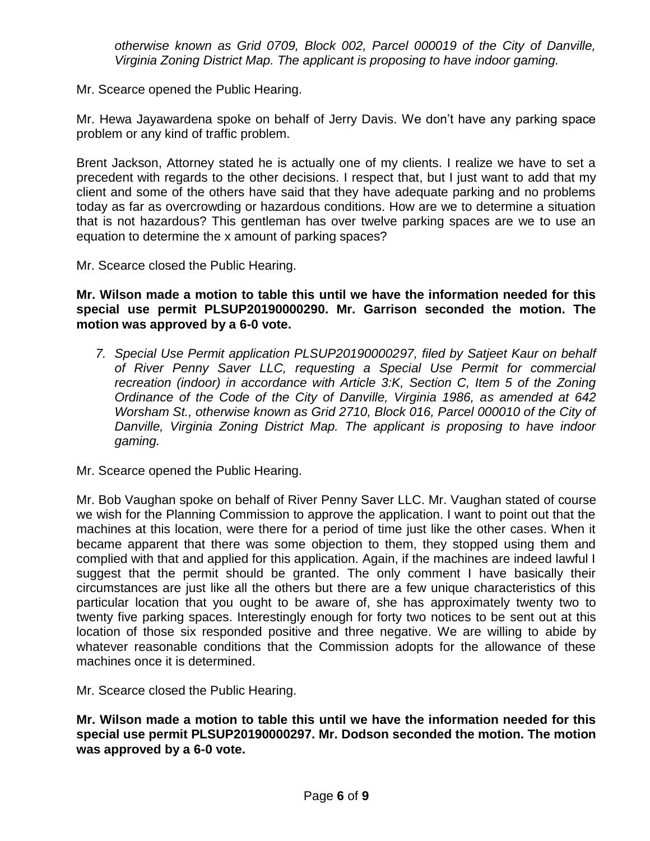*otherwise known as Grid 0709, Block 002, Parcel 000019 of the City of Danville, Virginia Zoning District Map. The applicant is proposing to have indoor gaming.*

Mr. Scearce opened the Public Hearing.

Mr. Hewa Jayawardena spoke on behalf of Jerry Davis. We don't have any parking space problem or any kind of traffic problem.

Brent Jackson, Attorney stated he is actually one of my clients. I realize we have to set a precedent with regards to the other decisions. I respect that, but I just want to add that my client and some of the others have said that they have adequate parking and no problems today as far as overcrowding or hazardous conditions. How are we to determine a situation that is not hazardous? This gentleman has over twelve parking spaces are we to use an equation to determine the x amount of parking spaces?

Mr. Scearce closed the Public Hearing.

**Mr. Wilson made a motion to table this until we have the information needed for this special use permit PLSUP20190000290. Mr. Garrison seconded the motion. The motion was approved by a 6-0 vote.**

*7. Special Use Permit application PLSUP20190000297, filed by Satjeet Kaur on behalf of River Penny Saver LLC, requesting a Special Use Permit for commercial recreation (indoor) in accordance with Article 3:K, Section C, Item 5 of the Zoning Ordinance of the Code of the City of Danville, Virginia 1986, as amended at 642 Worsham St., otherwise known as Grid 2710, Block 016, Parcel 000010 of the City of Danville, Virginia Zoning District Map. The applicant is proposing to have indoor gaming.*

Mr. Scearce opened the Public Hearing.

Mr. Bob Vaughan spoke on behalf of River Penny Saver LLC. Mr. Vaughan stated of course we wish for the Planning Commission to approve the application. I want to point out that the machines at this location, were there for a period of time just like the other cases. When it became apparent that there was some objection to them, they stopped using them and complied with that and applied for this application. Again, if the machines are indeed lawful I suggest that the permit should be granted. The only comment I have basically their circumstances are just like all the others but there are a few unique characteristics of this particular location that you ought to be aware of, she has approximately twenty two to twenty five parking spaces. Interestingly enough for forty two notices to be sent out at this location of those six responded positive and three negative. We are willing to abide by whatever reasonable conditions that the Commission adopts for the allowance of these machines once it is determined.

Mr. Scearce closed the Public Hearing.

**Mr. Wilson made a motion to table this until we have the information needed for this special use permit PLSUP20190000297. Mr. Dodson seconded the motion. The motion was approved by a 6-0 vote.**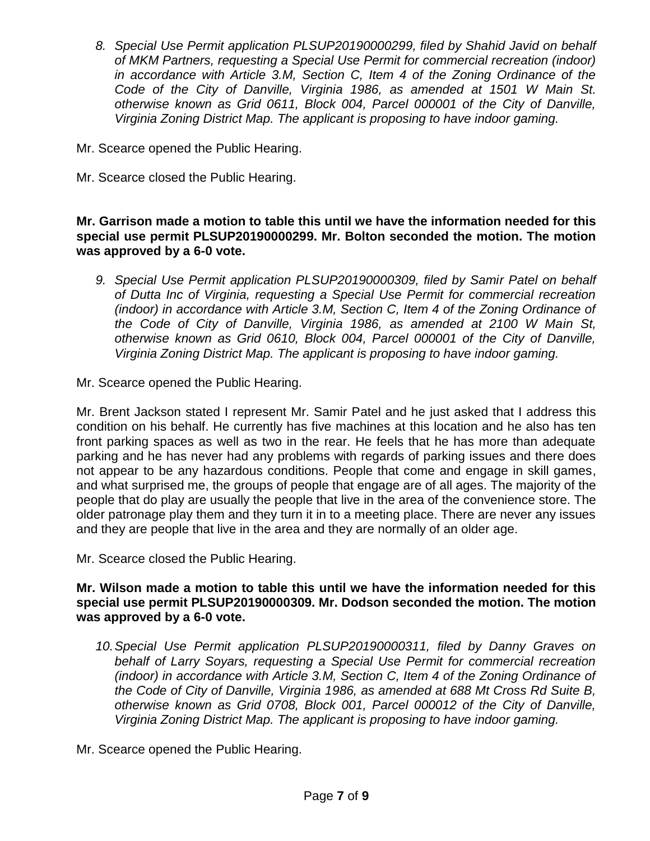- *8. Special Use Permit application PLSUP20190000299, filed by Shahid Javid on behalf of MKM Partners, requesting a Special Use Permit for commercial recreation (indoor) in accordance with Article 3.M, Section C, Item 4 of the Zoning Ordinance of the Code of the City of Danville, Virginia 1986, as amended at 1501 W Main St. otherwise known as Grid 0611, Block 004, Parcel 000001 of the City of Danville, Virginia Zoning District Map. The applicant is proposing to have indoor gaming.*
- Mr. Scearce opened the Public Hearing.
- Mr. Scearce closed the Public Hearing.

# **Mr. Garrison made a motion to table this until we have the information needed for this special use permit PLSUP20190000299. Mr. Bolton seconded the motion. The motion was approved by a 6-0 vote.**

*9. Special Use Permit application PLSUP20190000309, filed by Samir Patel on behalf of Dutta Inc of Virginia, requesting a Special Use Permit for commercial recreation (indoor) in accordance with Article 3.M, Section C, Item 4 of the Zoning Ordinance of the Code of City of Danville, Virginia 1986, as amended at 2100 W Main St, otherwise known as Grid 0610, Block 004, Parcel 000001 of the City of Danville, Virginia Zoning District Map. The applicant is proposing to have indoor gaming.*

Mr. Scearce opened the Public Hearing.

Mr. Brent Jackson stated I represent Mr. Samir Patel and he just asked that I address this condition on his behalf. He currently has five machines at this location and he also has ten front parking spaces as well as two in the rear. He feels that he has more than adequate parking and he has never had any problems with regards of parking issues and there does not appear to be any hazardous conditions. People that come and engage in skill games, and what surprised me, the groups of people that engage are of all ages. The majority of the people that do play are usually the people that live in the area of the convenience store. The older patronage play them and they turn it in to a meeting place. There are never any issues and they are people that live in the area and they are normally of an older age.

Mr. Scearce closed the Public Hearing.

#### **Mr. Wilson made a motion to table this until we have the information needed for this special use permit PLSUP20190000309. Mr. Dodson seconded the motion. The motion was approved by a 6-0 vote.**

*10.Special Use Permit application PLSUP20190000311, filed by Danny Graves on behalf of Larry Soyars, requesting a Special Use Permit for commercial recreation (indoor) in accordance with Article 3.M, Section C, Item 4 of the Zoning Ordinance of the Code of City of Danville, Virginia 1986, as amended at 688 Mt Cross Rd Suite B, otherwise known as Grid 0708, Block 001, Parcel 000012 of the City of Danville, Virginia Zoning District Map. The applicant is proposing to have indoor gaming.*

Mr. Scearce opened the Public Hearing.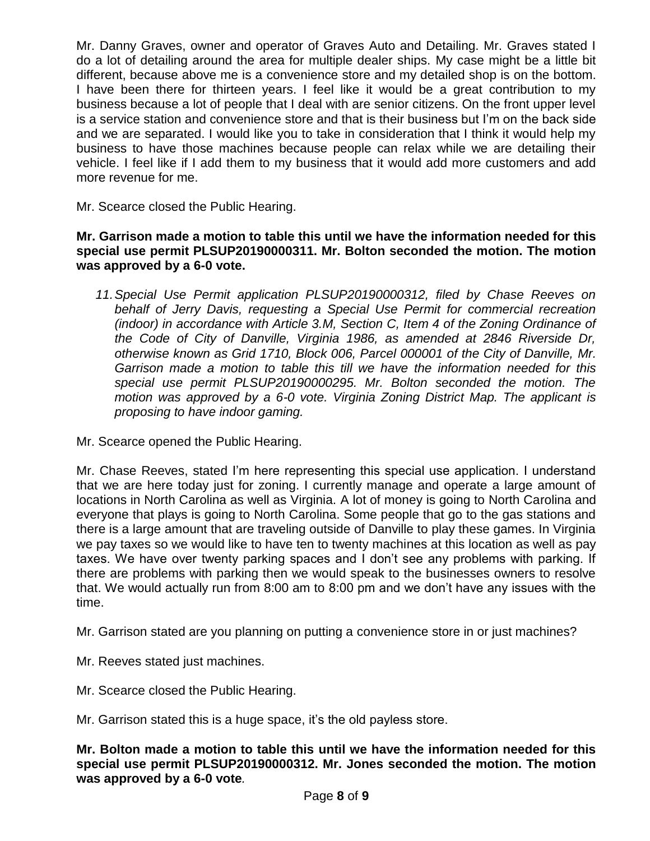Mr. Danny Graves, owner and operator of Graves Auto and Detailing. Mr. Graves stated I do a lot of detailing around the area for multiple dealer ships. My case might be a little bit different, because above me is a convenience store and my detailed shop is on the bottom. I have been there for thirteen years. I feel like it would be a great contribution to my business because a lot of people that I deal with are senior citizens. On the front upper level is a service station and convenience store and that is their business but I'm on the back side and we are separated. I would like you to take in consideration that I think it would help my business to have those machines because people can relax while we are detailing their vehicle. I feel like if I add them to my business that it would add more customers and add more revenue for me.

Mr. Scearce closed the Public Hearing.

# **Mr. Garrison made a motion to table this until we have the information needed for this special use permit PLSUP20190000311. Mr. Bolton seconded the motion. The motion was approved by a 6-0 vote.**

*11.Special Use Permit application PLSUP20190000312, filed by Chase Reeves on behalf of Jerry Davis, requesting a Special Use Permit for commercial recreation (indoor) in accordance with Article 3.M, Section C, Item 4 of the Zoning Ordinance of the Code of City of Danville, Virginia 1986, as amended at 2846 Riverside Dr, otherwise known as Grid 1710, Block 006, Parcel 000001 of the City of Danville, Mr. Garrison made a motion to table this till we have the information needed for this special use permit PLSUP20190000295. Mr. Bolton seconded the motion. The motion was approved by a 6-0 vote. Virginia Zoning District Map. The applicant is proposing to have indoor gaming.*

Mr. Scearce opened the Public Hearing.

Mr. Chase Reeves, stated I'm here representing this special use application. I understand that we are here today just for zoning. I currently manage and operate a large amount of locations in North Carolina as well as Virginia. A lot of money is going to North Carolina and everyone that plays is going to North Carolina. Some people that go to the gas stations and there is a large amount that are traveling outside of Danville to play these games. In Virginia we pay taxes so we would like to have ten to twenty machines at this location as well as pay taxes. We have over twenty parking spaces and I don't see any problems with parking. If there are problems with parking then we would speak to the businesses owners to resolve that. We would actually run from 8:00 am to 8:00 pm and we don't have any issues with the time.

Mr. Garrison stated are you planning on putting a convenience store in or just machines?

- Mr. Reeves stated just machines.
- Mr. Scearce closed the Public Hearing.

Mr. Garrison stated this is a huge space, it's the old payless store.

**Mr. Bolton made a motion to table this until we have the information needed for this special use permit PLSUP20190000312. Mr. Jones seconded the motion. The motion was approved by a 6-0 vote***.*